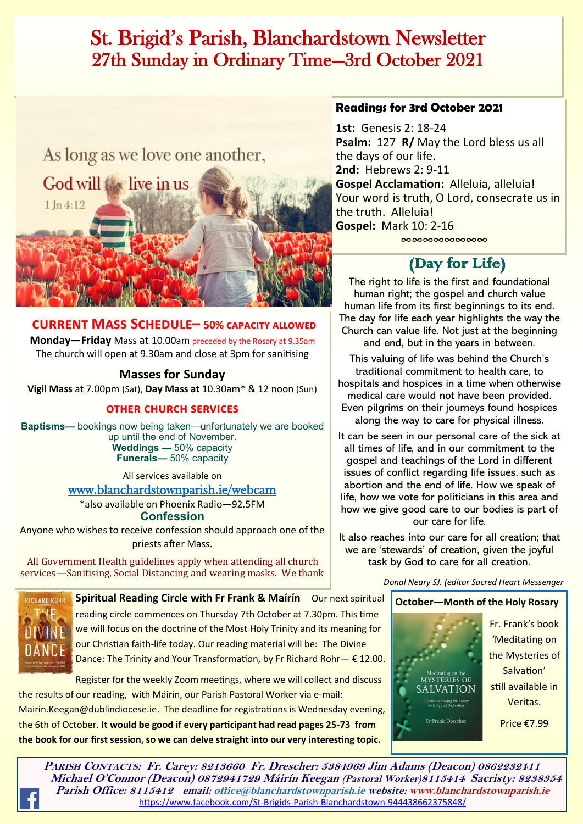## St. Brigid's Parish, Blanchardstown Newsletter 27th Sunday in Ordinary Time—3rd October 2021



## **current Mass Schedule– 50% capacity allowed**

**Monday—Friday** Mass at 10.00am preceded by the Rosary at 9.35am The church will open at 9.30am and close at 3pm for sanitising

## **Masses for Sunday**

**Vigil Mass** at 7.00pm (Sat), **Day Mass at** 10.30am\* & 12 noon (Sun)

#### **other church services**

**Baptisms—** bookings now being taken—unfortunately we are booked up until the end of November. **Weddings —** 50% capacity **Funerals—** 50% capacity

All services available on

[www.blanchardstownparish.ie/webcam](http://www.blanchardstownparish.ie/webcam)

\*also available on Phoenix Radio—92.5FM

**Confession**

Anyone who wishes to receive confession should approach one of the priests after Mass.

All Government Health guidelines apply when attending all church services—Sanitising, Social Distancing and wearing masks. We thank



**Spiritual Reading Circle with Fr Frank & Maírín** Our next spiritual

reading circle commences on Thursday 7th October at 7.30pm. This time we will focus on the doctrine of the Most Holy Trinity and its meaning for our Christian faith-life today. Our reading material will be: The Divine Dance: The Trinity and Your Transformation, by Fr Richard Rohr— € 12.00.

Register for the weekly Zoom meetings, where we will collect and discuss the results of our reading, with Máirín, our Parish Pastoral Worker via e-mail: Mairin.Keegan@dublindiocese.ie. The deadline for registrations is Wednesday evening, the 6th of October. **It would be good if every participant had read pages 25-73 from the book for our first session, so we can delve straight into our very interesting topic.**

#### **Readings for 3rd October 2021**

**1st:** Genesis 2: 18-24 **Psalm:** 127 **R/** May the Lord bless us all the days of our life. **2nd:** Hebrews 2: 9-11 **Gospel Acclamation:** Alleluia, alleluia! Your word is truth, O Lord, consecrate us in the truth. Alleluia! **Gospel:** Mark 10: 2-16

∞∞∞∞∞∞∞∞

## (Day for Life)

The right to life is the first and foundational human right; the gospel and church value human life from its first beginnings to its end. The day for life each year highlights the way the Church can value life. Not just at the beginning and end, but in the years in between.

This valuing of life was behind the Church's traditional commitment to health care, to hospitals and hospices in a time when otherwise medical care would not have been provided. Even pilgrims on their journeys found hospices along the way to care for physical illness.

It can be seen in our personal care of the sick at all times of life, and in our commitment to the gospel and teachings of the Lord in different issues of conflict regarding life issues, such as abortion and the end of life. How we speak of life, how we vote for politicians in this area and how we give good care to our bodies is part of our care for life.

It also reaches into our care for all creation; that we are 'stewards' of creation, given the joyful task by God to care for all creation.

*Donal Neary SJ. (editor Sacred Heart Messenger* 



Fr. Frank's book 'Meditating on the Mysteries of Salvation' still available in Veritas.

Price €7.99

**PARISH CONTACTS: Fr. Carey: 8213660 Fr. Drescher: 5384969 Jim Adams (Deacon) 0862232411 Michael O'Connor (Deacon) 0872941729 Máirín Keegan (Pastoral Worker)8115414 Sacristy: 8238354 Parish Office: 8115412 email: office@blanchardstownparish.ie website: www.blanchardstownparish.ie**  [https://www.facebook.com/St](https://www.facebook.com/St-Brigids-Parish-Blanchardstown-944438662375848/)-Brigids-Parish-Blanchardstown-944438662375848/